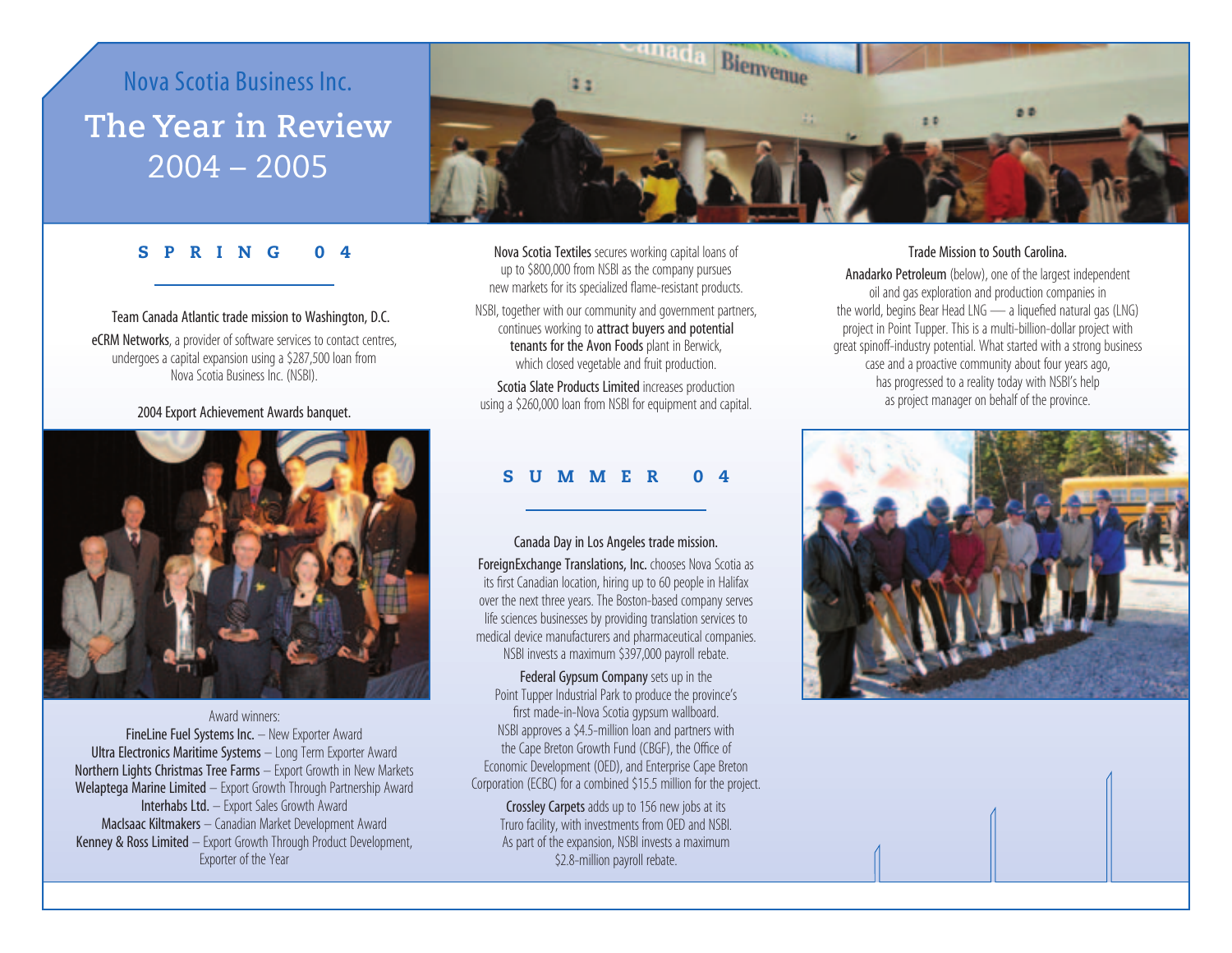# Nova Scotia Business Inc. **The Year in Review** 2004 – 2005



## **SPRING 0**

Team Canada Atlantic trade mission to Washington, D.C. eCRM Networks, a provider of software services to contact centres, undergoes a capital expansion using a \$287,500 loan from Nova Scotia Business Inc. (NSBI).

#### 2004 Export Achievement Awards banquet.



Award winners: FineLine Fuel Systems Inc. - New Exporter Award Ultra Electronics Maritime Systems – Long Term Exporter Award Northern Lights Christmas Tree Farms – Export Growth in New Markets Welaptega Marine Limited – Export Growth Through Partnership Award Interhabs Ltd. – Export Sales Growth Award MacIsaac Kiltmakers – Canadian Market Development Award Kenney & Ross Limited – Export Growth Through Product Development, Exporter of the Year

Nova Scotia Textiles secures working capital loans of up to \$800,000 from NSBI as the company pursues new markets for its specialized flame-resistant products.

NSBI, together with our community and government partners, continues working to attract buyers and potential tenants for the Avon Foods plant in Berwick, which closed vegetable and fruit production.

Scotia Slate Products Limited increases production using a \$260,000 loan from NSBI for equipment and capital.

# **SUMMER 04**

#### Canada Day in Los Angeles trade mission.

ForeignExchange Translations, Inc. chooses Nova Scotia as its first Canadian location, hiring up to 60 people in Halifax over the next three years. The Boston-based company serves life sciences businesses by providing translation services to medical device manufacturers and pharmaceutical companies. NSBI invests a maximum \$397,000 payroll rebate.

Federal Gypsum Company sets up in the Point Tupper Industrial Park to produce the province's first made-in-Nova Scotia gypsum wallboard. NSBI approves a \$4.5-million loan and partners with the Cape Breton Growth Fund (CBGF), the Office of Economic Development (OED), and Enterprise Cape Breton Corporation (ECBC) for a combined \$15.5 million for the project.

Crossley Carpets adds up to 156 new jobs at its Truro facility, with investments from OED and NSBI. As part of the expansion, NSBI invests a maximum \$2.8-million payroll rebate.

#### Trade Mission to South Carolina.

Anadarko Petroleum (below), one of the largest independent oil and gas exploration and production companies in the world, begins Bear Head LNG — a liquefied natural gas (LNG) project in Point Tupper. This is a multi-billion-dollar project with great spinoff-industry potential. What started with a strong business case and a proactive community about four years ago, has progressed to a reality today with NSBI's help as project manager on behalf of the province.